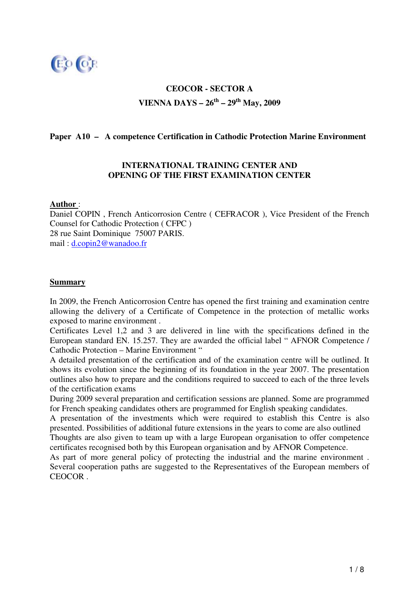

# **CEOCOR - SECTOR A VIENNA DAYS – 26 th – 29 th May, 2009**

## **Paper A10 – A competence Certification in Cathodic Protection Marine Environment**

### **INTERNATIONAL TRAINING CENTER AND OPENING OF THE FIRST EXAMINATION CENTER**

#### **Author** :

Daniel COPIN , French Anticorrosion Centre ( CEFRACOR ), Vice President of the French Counsel for Cathodic Protection ( CFPC ) 28 rue Saint Dominique 75007 PARIS. mail : d.copin2@wanadoo.fr

#### **Summary**

In 2009, the French Anticorrosion Centre has opened the first training and examination centre allowing the delivery of a Certificate of Competence in the protection of metallic works exposed to marine environment .

Certificates Level 1,2 and 3 are delivered in line with the specifications defined in the European standard EN. 15.257. They are awarded the official label " AFNOR Competence / Cathodic Protection – Marine Environment "

A detailed presentation of the certification and of the examination centre will be outlined. It shows its evolution since the beginning of its foundation in the year 2007. The presentation outlines also how to prepare and the conditions required to succeed to each of the three levels of the certification exams

During 2009 several preparation and certification sessions are planned. Some are programmed for French speaking candidates others are programmed for English speaking candidates.

A presentation of the investments which were required to establish this Centre is also presented. Possibilities of additional future extensions in the years to come are also outlined

Thoughts are also given to team up with a large European organisation to offer competence certificates recognised both by this European organisation and by AFNOR Competence.

As part of more general policy of protecting the industrial and the marine environment . Several cooperation paths are suggested to the Representatives of the European members of CEOCOR .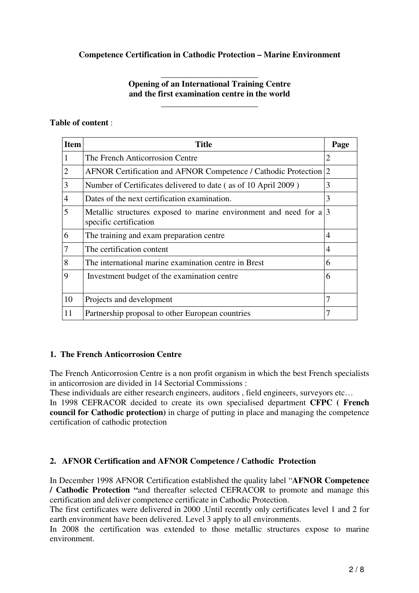## **Competence Certification in Cathodic Protection – Marine Environment**

### \_\_\_\_\_\_\_\_\_\_\_\_\_\_\_\_\_\_\_\_\_\_\_ **Opening of an International Training Centre and the first examination centre in the world**

\_\_\_\_\_\_\_\_\_\_\_\_\_\_\_\_\_\_\_\_\_\_\_

### **Table of content** :

| <b>Item</b> | Title                                                                                      | Page |
|-------------|--------------------------------------------------------------------------------------------|------|
| 1           | The French Anticorrosion Centre                                                            | 2    |
| 2           | AFNOR Certification and AFNOR Competence / Cathodic Protection 2                           |      |
| 3           | Number of Certificates delivered to date (as of 10 April 2009)                             | 3    |
| 4           | Dates of the next certification examination.                                               | 3    |
| 5           | Metallic structures exposed to marine environment and need for a<br>specific certification | 13   |
| 6           | The training and exam preparation centre                                                   | 4    |
| 7           | The certification content                                                                  | 4    |
| 8           | The international marine examination centre in Brest                                       | 6    |
| 9           | Investment budget of the examination centre                                                | 6    |
| 10          | Projects and development                                                                   | 7    |
| 11          | Partnership proposal to other European countries                                           | 7    |

## **1. The French Anticorrosion Centre**

The French Anticorrosion Centre is a non profit organism in which the best French specialists in anticorrosion are divided in 14 Sectorial Commissions :

These individuals are either research engineers, auditors , field engineers, surveyors etc…

In 1998 CEFRACOR decided to create its own specialised department **CFPC ( French council for Cathodic protection)** in charge of putting in place and managing the competence certification of cathodic protection

## **2. AFNOR Certification and AFNOR Competence / Cathodic Protection**

In December 1998 AFNOR Certification established the quality label "**AFNOR Competence / Cathodic Protection "**and thereafter selected CEFRACOR to promote and manage this certification and deliver competence certificate in Cathodic Protection.

The first certificates were delivered in 2000 .Until recently only certificates level 1 and 2 for earth environment have been delivered. Level 3 apply to all environments.

In 2008 the certification was extended to those metallic structures expose to marine environment.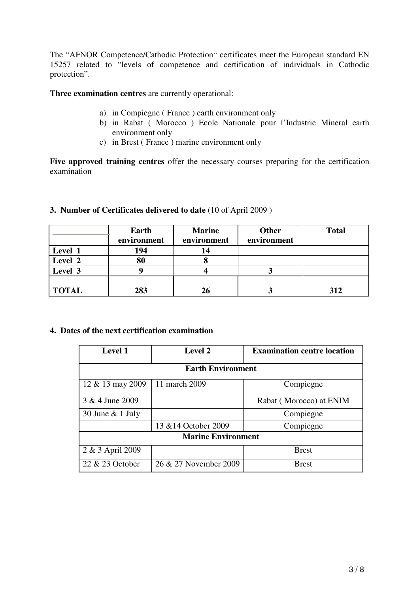The "AFNOR Competence/Cathodic Protection" certificates meet the European standard EN 15257 related to "levels of competence and certification of individuals in Cathodic protection".

**Three examination centres** are currently operational:

- a) in Compiegne ( France ) earth environment only
- b) in Rabat ( Morocco ) Ecole Nationale pour l'Industrie Mineral earth environment only
- c) in Brest ( France ) marine environment only

**Five approved training centres** offer the necessary courses preparing for the certification examination

## **3. Number of Certificates delivered to date** (10 of April 2009 )

|              | Earth<br>environment | <b>Marine</b><br>environment | <b>Other</b><br>environment | <b>Total</b> |
|--------------|----------------------|------------------------------|-----------------------------|--------------|
| Level 1      | 194                  | 14                           |                             |              |
| Level 2      | 80                   |                              |                             |              |
| Level 3      |                      |                              |                             |              |
| <b>TOTAL</b> | 283                  | 26                           |                             | 312          |

### **4. Dates of the next certification examination**

| <b>Level 1</b>            | <b>Level 2</b>        | <b>Examination centre location</b> |  |  |  |  |
|---------------------------|-----------------------|------------------------------------|--|--|--|--|
| <b>Earth Environment</b>  |                       |                                    |  |  |  |  |
| $12 \& 13$ may 2009       | 11 march 2009         | Compiegne                          |  |  |  |  |
| 3 & 4 June 2009           |                       | Rabat (Morocco) at ENIM            |  |  |  |  |
| 30 June $& 1$ July        |                       | Compiegne                          |  |  |  |  |
|                           | 13 & 14 October 2009  | Compiegne                          |  |  |  |  |
| <b>Marine Environment</b> |                       |                                    |  |  |  |  |
| 2 & 3 April 2009          |                       | <b>Brest</b>                       |  |  |  |  |
| 22 & 23 October           | 26 & 27 November 2009 | <b>Brest</b>                       |  |  |  |  |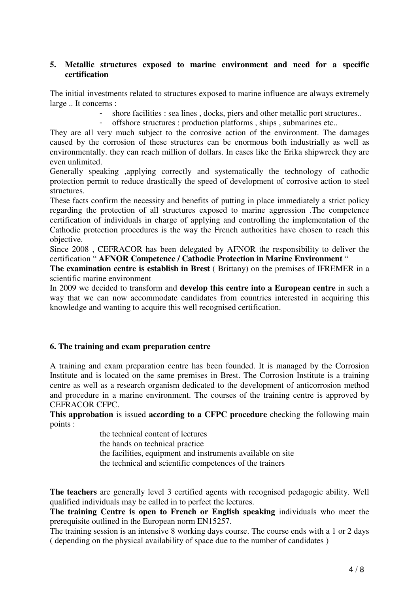#### **5. Metallic structures exposed to marine environment and need for a specific certification**

The initial investments related to structures exposed to marine influence are always extremely large .. It concerns :

- shore facilities : sea lines, docks, piers and other metallic port structures..

- offshore structures : production platforms , ships , submarines etc..

They are all very much subject to the corrosive action of the environment. The damages caused by the corrosion of these structures can be enormous both industrially as well as environmentally. they can reach million of dollars. In cases like the Erika shipwreck they are even unlimited.

Generally speaking ,applying correctly and systematically the technology of cathodic protection permit to reduce drastically the speed of development of corrosive action to steel structures.

These facts confirm the necessity and benefits of putting in place immediately a strict policy regarding the protection of all structures exposed to marine aggression .The competence certification of individuals in charge of applying and controlling the implementation of the Cathodic protection procedures is the way the French authorities have chosen to reach this objective.

Since 2008 , CEFRACOR has been delegated by AFNOR the responsibility to deliver the certification " **AFNOR Competence / Cathodic Protection in Marine Environment** "

**The examination centre is establish in Brest** ( Brittany) on the premises of IFREMER in a scientific marine environment

In 2009 we decided to transform and **develop this centre into a European centre** in such a way that we can now accommodate candidates from countries interested in acquiring this knowledge and wanting to acquire this well recognised certification.

#### **6. The training and exam preparation centre**

A training and exam preparation centre has been founded. It is managed by the Corrosion Institute and is located on the same premises in Brest. The Corrosion Institute is a training centre as well as a research organism dedicated to the development of anticorrosion method and procedure in a marine environment. The courses of the training centre is approved by CEFRACOR CFPC.

**This approbation** is issued **according to a CFPC procedure** checking the following main points :

the technical content of lectures

the hands on technical practice

the facilities, equipment and instruments available on site

the technical and scientific competences of the trainers

**The teachers** are generally level 3 certified agents with recognised pedagogic ability. Well qualified individuals may be called in to perfect the lectures.

**The training Centre is open to French or English speaking** individuals who meet the prerequisite outlined in the European norm EN15257.

The training session is an intensive 8 working days course. The course ends with a 1 or 2 days ( depending on the physical availability of space due to the number of candidates )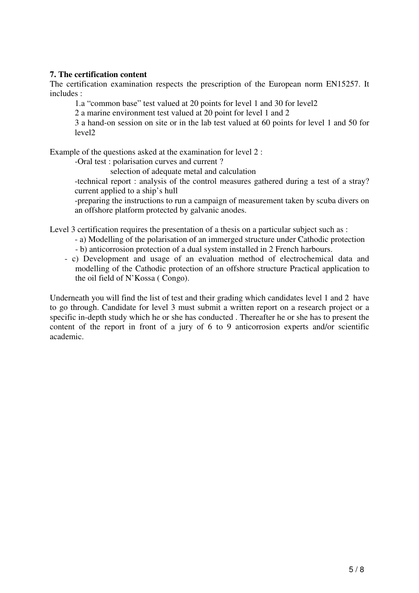## **7. The certification content**

The certification examination respects the prescription of the European norm EN15257. It includes :

1.a "common base" test valued at 20 points for level 1 and 30 for level2

2 a marine environment test valued at 20 point for level 1 and 2

3 a hand-on session on site or in the lab test valued at 60 points for level 1 and 50 for level2

Example of the questions asked at the examination for level 2 :

-Oral test : polarisation curves and current ?

selection of adequate metal and calculation

-technical report : analysis of the control measures gathered during a test of a stray? current applied to a ship's hull

-preparing the instructions to run a campaign of measurement taken by scuba divers on an offshore platform protected by galvanic anodes.

Level 3 certification requires the presentation of a thesis on a particular subject such as :

- a) Modelling of the polarisation of an immerged structure under Cathodic protection - b) anticorrosion protection of a dual system installed in 2 French harbours.
- c) Development and usage of an evaluation method of electrochemical data and modelling of the Cathodic protection of an offshore structure Practical application to the oil field of N'Kossa ( Congo).

Underneath you will find the list of test and their grading which candidates level 1 and 2 have to go through. Candidate for level 3 must submit a written report on a research project or a specific in-depth study which he or she has conducted . Thereafter he or she has to present the content of the report in front of a jury of 6 to 9 anticorrosion experts and/or scientific academic.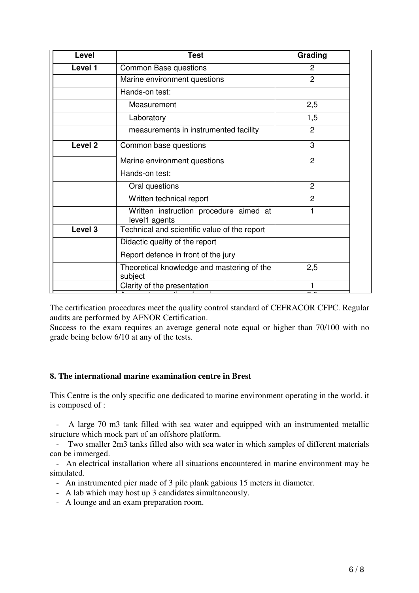| <b>Level</b>       | <b>Test</b>                                             | Grading        |
|--------------------|---------------------------------------------------------|----------------|
| Level 1            | <b>Common Base questions</b>                            | 2              |
|                    | Marine environment questions                            | $\overline{2}$ |
|                    | Hands-on test:                                          |                |
|                    | Measurement                                             | 2,5            |
|                    | Laboratory                                              | 1,5            |
|                    | measurements in instrumented facility                   | 2              |
| Level <sub>2</sub> | Common base questions                                   | 3              |
|                    | Marine environment questions                            | $\overline{2}$ |
|                    | Hands-on test:                                          |                |
|                    | Oral questions                                          | $\overline{2}$ |
|                    | Written technical report                                | $\overline{2}$ |
|                    | Written instruction procedure aimed at<br>level1 agents | 1              |
| Level 3            | Technical and scientific value of the report            |                |
|                    | Didactic quality of the report                          |                |
|                    | Report defence in front of the jury                     |                |
|                    | Theoretical knowledge and mastering of the<br>subject   | 2,5            |
|                    | Clarity of the presentation                             |                |

The certification procedures meet the quality control standard of CEFRACOR CFPC. Regular audits are performed by AFNOR Certification.

Success to the exam requires an average general note equal or higher than 70/100 with no grade being below 6/10 at any of the tests.

## **8. The international marine examination centre in Brest**

This Centre is the only specific one dedicated to marine environment operating in the world. it is composed of :

- A large 70 m3 tank filled with sea water and equipped with an instrumented metallic structure which mock part of an offshore platform.

- Two smaller 2m3 tanks filled also with sea water in which samples of different materials can be immerged.

- An electrical installation where all situations encountered in marine environment may be simulated.

- An instrumented pier made of 3 pile plank gabions 15 meters in diameter.

- A lab which may host up 3 candidates simultaneously.
- A lounge and an exam preparation room.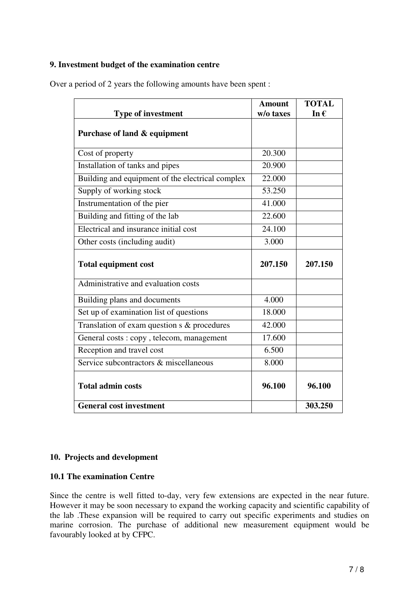## **9. Investment budget of the examination centre**

| <b>Type of investment</b>                        | <b>Amount</b><br>w/o taxes | <b>TOTAL</b><br>In $\epsilon$ |
|--------------------------------------------------|----------------------------|-------------------------------|
| Purchase of land & equipment                     |                            |                               |
| Cost of property                                 | 20.300                     |                               |
| Installation of tanks and pipes                  | 20.900                     |                               |
| Building and equipment of the electrical complex | 22.000                     |                               |
| Supply of working stock                          | 53.250                     |                               |
| Instrumentation of the pier                      | 41.000                     |                               |
| Building and fitting of the lab                  | 22.600                     |                               |
| Electrical and insurance initial cost            | 24.100                     |                               |
| Other costs (including audit)                    | 3.000                      |                               |
| <b>Total equipment cost</b>                      | 207.150                    | 207.150                       |
| Administrative and evaluation costs              |                            |                               |
| Building plans and documents                     | 4.000                      |                               |
| Set up of examination list of questions          | 18.000                     |                               |
| Translation of exam question s & procedures      | 42.000                     |                               |
| General costs: copy, telecom, management         | 17.600                     |                               |
| Reception and travel cost                        | 6.500                      |                               |
| Service subcontractors & miscellaneous           | 8.000                      |                               |
| <b>Total admin costs</b>                         | 96.100                     | 96.100                        |
| <b>General cost investment</b>                   |                            | 303.250                       |

Over a period of 2 years the following amounts have been spent :

## **10. Projects and development**

## **10.1 The examination Centre**

Since the centre is well fitted to-day, very few extensions are expected in the near future. However it may be soon necessary to expand the working capacity and scientific capability of the lab .These expansion will be required to carry out specific experiments and studies on marine corrosion. The purchase of additional new measurement equipment would be favourably looked at by CFPC.